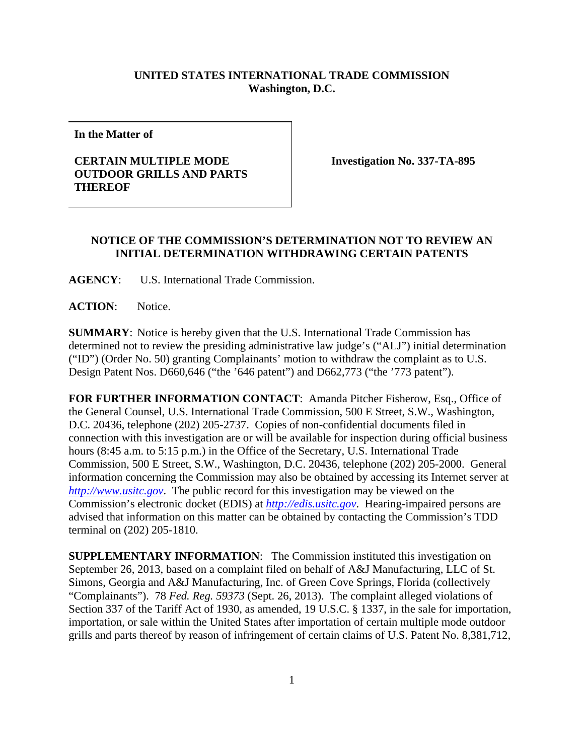## **UNITED STATES INTERNATIONAL TRADE COMMISSION Washington, D.C.**

**In the Matter of** 

## **CERTAIN MULTIPLE MODE OUTDOOR GRILLS AND PARTS THEREOF**

**Investigation No. 337-TA-895** 

## **NOTICE OF THE COMMISSION'S DETERMINATION NOT TO REVIEW AN INITIAL DETERMINATION WITHDRAWING CERTAIN PATENTS**

**AGENCY**: U.S. International Trade Commission.

ACTION: Notice.

**SUMMARY**: Notice is hereby given that the U.S. International Trade Commission has determined not to review the presiding administrative law judge's ("ALJ") initial determination ("ID") (Order No. 50) granting Complainants' motion to withdraw the complaint as to U.S. Design Patent Nos. D660,646 ("the '646 patent") and D662,773 ("the '773 patent").

**FOR FURTHER INFORMATION CONTACT**: Amanda Pitcher Fisherow, Esq., Office of the General Counsel, U.S. International Trade Commission, 500 E Street, S.W., Washington, D.C. 20436, telephone (202) 205-2737. Copies of non-confidential documents filed in connection with this investigation are or will be available for inspection during official business hours (8:45 a.m. to 5:15 p.m.) in the Office of the Secretary, U.S. International Trade Commission, 500 E Street, S.W., Washington, D.C. 20436, telephone (202) 205-2000. General information concerning the Commission may also be obtained by accessing its Internet server at *http://www.usitc.gov*. The public record for this investigation may be viewed on the Commission's electronic docket (EDIS) at *http://edis.usitc.gov*. Hearing-impaired persons are advised that information on this matter can be obtained by contacting the Commission's TDD terminal on (202) 205-1810.

**SUPPLEMENTARY INFORMATION**: The Commission instituted this investigation on September 26, 2013, based on a complaint filed on behalf of A&J Manufacturing, LLC of St. Simons, Georgia and A&J Manufacturing, Inc. of Green Cove Springs, Florida (collectively "Complainants"). 78 *Fed. Reg. 59373* (Sept. 26, 2013). The complaint alleged violations of Section 337 of the Tariff Act of 1930, as amended, 19 U.S.C. § 1337, in the sale for importation, importation, or sale within the United States after importation of certain multiple mode outdoor grills and parts thereof by reason of infringement of certain claims of U.S. Patent No. 8,381,712,